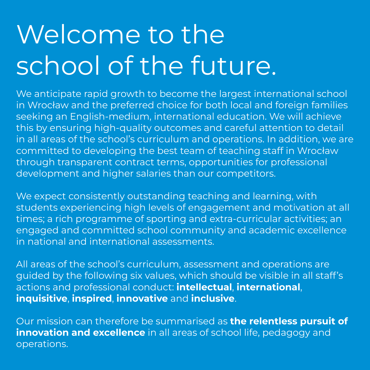# Welcome to the school of the future.

We anticipate rapid growth to become the largest international school in Wrocław and the preferred choice for both local and foreign families seeking an English-medium, international education. We will achieve this by ensuring high-quality outcomes and careful attention to detail in all areas of the school's curriculum and operations. In addition, we are committed to developing the best team of teaching staff in Wrocław through transparent contract terms, opportunities for professional development and higher salaries than our competitors.

We expect consistently outstanding teaching and learning, with students experiencing high levels of engagement and motivation at all times; a rich programme of sporting and extra-curricular activities; an engaged and committed school community and academic excellence in national and international assessments.

All areas of the school's curriculum, assessment and operations are guided by the following six values, which should be visible in all staff's actions and professional conduct: **intellectual**, **international**, **inquisitive**, **inspired**, **innovative** and **inclusive**.

Our mission can therefore be summarised as **the relentless pursuit of innovation and excellence** in all areas of school life, pedagogy and operations.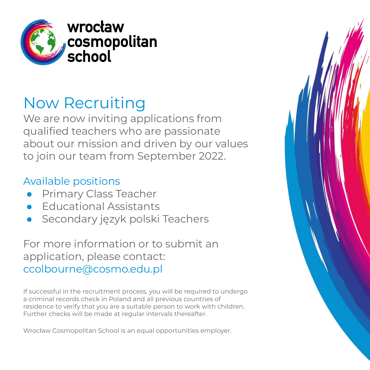

### Now Recruiting

We are now inviting applications from qualified teachers who are passionate about our mission and driven by our values to join our team from September 2022.

#### Available positions

- **Primary Class Teacher**
- **Educational Assistants**
- Secondary język polski Teachers

For more information or to submit an application, please contact: ccolbourne@cosmo.edu.pl

If successful in the recruitment process, you will be required to undergo a criminal records check in Poland and all previous countries of residence to verify that you are a suitable person to work with children. Further checks will be made at regular intervals thereafter.

Wrocław Cosmopolitan School is an equal opportunities employer.